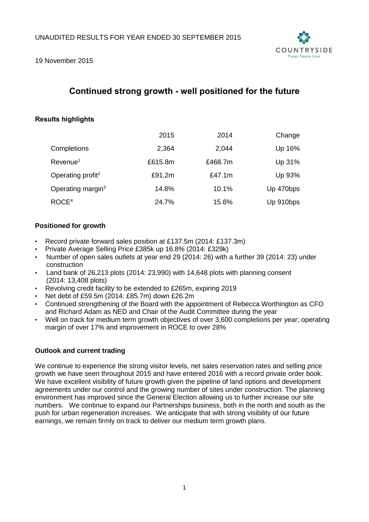

19 November 2015

# **Continued strong growth - well positioned for the future**

# **Results highlights**

|                               | 2015    | 2014      | Change    |
|-------------------------------|---------|-----------|-----------|
| Completions                   | 2,364   | 2,044     | Up 16%    |
| Revenue <sup>1</sup>          | £615.8m | £468.7m   | Up 31%    |
| Operating profit <sup>2</sup> | £91.2m  | £47.1 $m$ | Up 93%    |
| Operating margin <sup>3</sup> | 14.8%   | 10.1%     | Up 470bps |
| ROCE <sup>4</sup>             | 24.7%   | 15.6%     | Up 910bps |

# **Positioned for growth**

- Record private forward sales position at £137.5m (2014: £137.3m)
- Private Average Selling Price £385k up 16.8% (2014: £329k)
- Number of open sales outlets at year end 29 (2014: 26) with a further 39 (2014: 23) under construction
- Land bank of 26,213 plots (2014: 23,990) with 14,648 plots with planning consent (2014: 13,408 plots)
- Revolving credit facility to be extended to £265m, expiring 2019
- Net debt of £59.5m (2014: £85.7m) down £26.2m
- Continued strengthening of the Board with the appointment of Rebecca Worthington as CFO and Richard Adam as NED and Chair of the Audit Committee during the year
- Well on track for medium term growth objectives of over 3,600 completions per year; operating margin of over 17% and improvement in ROCE to over 28%

# **Outlook and current trading**

We continue to experience the strong visitor levels, net sales reservation rates and selling price growth we have seen throughout 2015 and have entered 2016 with a record private order book. We have excellent visibility of future growth given the pipeline of land options and development agreements under our control and the growing number of sites under construction. The planning environment has improved since the General Election allowing us to further increase our site numbers. We continue to expand our Partnerships business, both in the north and south as the push for urban regeneration increases. We anticipate that with strong visibility of our future earnings, we remain firmly on track to deliver our medium term growth plans.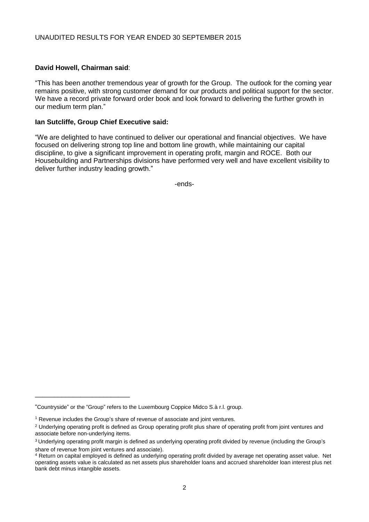# **David Howell, Chairman said**:

"This has been another tremendous year of growth for the Group. The outlook for the coming year remains positive, with strong customer demand for our products and political support for the sector. We have a record private forward order book and look forward to delivering the further growth in our medium term plan."

# **Ian Sutcliffe, Group Chief Executive said:**

"We are delighted to have continued to deliver our operational and financial objectives. We have focused on delivering strong top line and bottom line growth, while maintaining our capital discipline, to give a significant improvement in operating profit, margin and ROCE. Both our Housebuilding and Partnerships divisions have performed very well and have excellent visibility to deliver further industry leading growth."

-ends-

\_\_\_\_\_\_\_\_\_\_\_\_\_\_\_\_\_\_\_\_\_\_\_\_\_

<sup>&</sup>quot;Countryside" or the "Group" refers to the Luxembourg Coppice Midco S.à r.l. group.

<sup>1</sup> Revenue includes the Group's share of revenue of associate and joint ventures.

<sup>&</sup>lt;sup>2</sup> Underlying operating profit is defined as Group operating profit plus share of operating profit from joint ventures and associate before non-underlying items.

<sup>&</sup>lt;sup>3</sup> Underlying operating profit margin is defined as underlying operating profit divided by revenue (including the Group's share of revenue from joint ventures and associate).

<sup>4</sup> Return on capital employed is defined as underlying operating profit divided by average net operating asset value. Net operating assets value is calculated as net assets plus shareholder loans and accrued shareholder loan interest plus net bank debt minus intangible assets.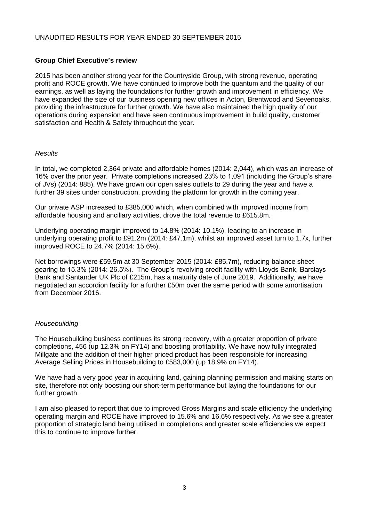# UNAUDITED RESULTS FOR YEAR ENDED 30 SEPTEMBER 2015

# **Group Chief Executive's review**

2015 has been another strong year for the Countryside Group, with strong revenue, operating profit and ROCE growth. We have continued to improve both the quantum and the quality of our earnings, as well as laying the foundations for further growth and improvement in efficiency. We have expanded the size of our business opening new offices in Acton, Brentwood and Sevenoaks, providing the infrastructure for further growth. We have also maintained the high quality of our operations during expansion and have seen continuous improvement in build quality, customer satisfaction and Health & Safety throughout the year.

# *Results*

In total, we completed 2,364 private and affordable homes (2014: 2,044), which was an increase of 16% over the prior year. Private completions increased 23% to 1,091 (including the Group's share of JVs) (2014: 885). We have grown our open sales outlets to 29 during the year and have a further 39 sites under construction, providing the platform for growth in the coming year.

Our private ASP increased to £385,000 which, when combined with improved income from affordable housing and ancillary activities, drove the total revenue to £615.8m.

Underlying operating margin improved to 14.8% (2014: 10.1%), leading to an increase in underlying operating profit to £91.2m (2014: £47.1m), whilst an improved asset turn to 1.7x, further improved ROCE to 24.7% (2014: 15.6%).

Net borrowings were £59.5m at 30 September 2015 (2014: £85.7m), reducing balance sheet gearing to 15.3% (2014: 26.5%). The Group's revolving credit facility with Lloyds Bank, Barclays Bank and Santander UK Plc of £215m, has a maturity date of June 2019. Additionally, we have negotiated an accordion facility for a further £50m over the same period with some amortisation from December 2016.

# *Housebuilding*

The Housebuilding business continues its strong recovery, with a greater proportion of private completions, 456 (up 12.3% on FY14) and boosting profitability. We have now fully integrated Millgate and the addition of their higher priced product has been responsible for increasing Average Selling Prices in Housebuilding to £583,000 (up 18.9% on FY14).

We have had a very good year in acquiring land, gaining planning permission and making starts on site, therefore not only boosting our short-term performance but laying the foundations for our further growth.

I am also pleased to report that due to improved Gross Margins and scale efficiency the underlying operating margin and ROCE have improved to 15.6% and 16.6% respectively. As we see a greater proportion of strategic land being utilised in completions and greater scale efficiencies we expect this to continue to improve further.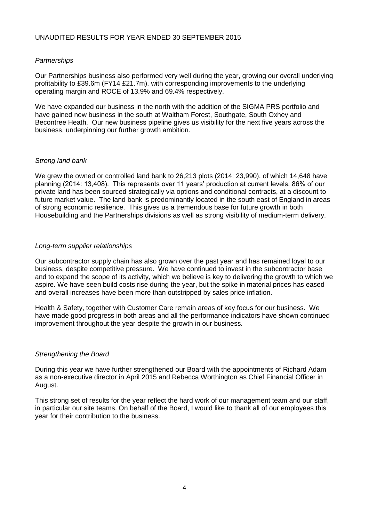# *Partnerships*

Our Partnerships business also performed very well during the year, growing our overall underlying profitability to £39.6m (FY14 £21.7m), with corresponding improvements to the underlying operating margin and ROCE of 13.9% and 69.4% respectively.

We have expanded our business in the north with the addition of the SIGMA PRS portfolio and have gained new business in the south at Waltham Forest, Southgate, South Oxhey and Becontree Heath. Our new business pipeline gives us visibility for the next five years across the business, underpinning our further growth ambition.

# *Strong land bank*

We grew the owned or controlled land bank to 26,213 plots (2014: 23,990), of which 14,648 have planning (2014: 13,408). This represents over 11 years' production at current levels. 86% of our private land has been sourced strategically via options and conditional contracts, at a discount to future market value. The land bank is predominantly located in the south east of England in areas of strong economic resilience. This gives us a tremendous base for future growth in both Housebuilding and the Partnerships divisions as well as strong visibility of medium-term delivery.

# *Long-term supplier relationships*

Our subcontractor supply chain has also grown over the past year and has remained loyal to our business, despite competitive pressure. We have continued to invest in the subcontractor base and to expand the scope of its activity, which we believe is key to delivering the growth to which we aspire. We have seen build costs rise during the year, but the spike in material prices has eased and overall increases have been more than outstripped by sales price inflation.

Health & Safety, together with Customer Care remain areas of key focus for our business. We have made good progress in both areas and all the performance indicators have shown continued improvement throughout the year despite the growth in our business.

# *Strengthening the Board*

During this year we have further strengthened our Board with the appointments of Richard Adam as a non-executive director in April 2015 and Rebecca Worthington as Chief Financial Officer in August.

This strong set of results for the year reflect the hard work of our management team and our staff, in particular our site teams. On behalf of the Board, I would like to thank all of our employees this year for their contribution to the business.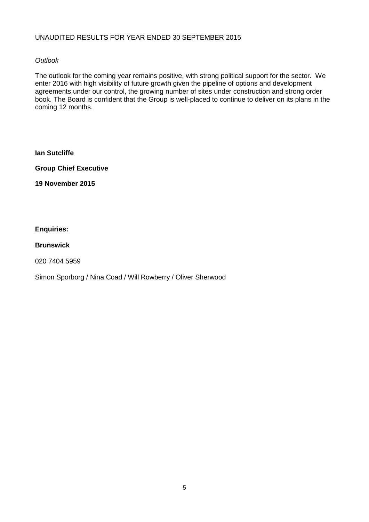# UNAUDITED RESULTS FOR YEAR ENDED 30 SEPTEMBER 2015

# *Outlook*

The outlook for the coming year remains positive, with strong political support for the sector. We enter 2016 with high visibility of future growth given the pipeline of options and development agreements under our control, the growing number of sites under construction and strong order book. The Board is confident that the Group is well-placed to continue to deliver on its plans in the coming 12 months.

**Ian Sutcliffe**

**Group Chief Executive**

**19 November 2015**

# **Enquiries:**

# **Brunswick**

020 7404 5959

Simon Sporborg / Nina Coad / Will Rowberry / Oliver Sherwood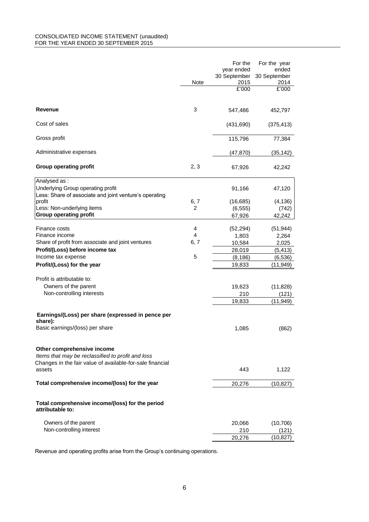#### CONSOLIDATED INCOME STATEMENT (unaudited) FOR THE YEAR ENDED 30 SEPTEMBER 2015

|                                                                                                                                              | Note | For the<br>year ended<br>30 September<br>2015 | For the year<br>ended<br>30 September<br>2014 |
|----------------------------------------------------------------------------------------------------------------------------------------------|------|-----------------------------------------------|-----------------------------------------------|
|                                                                                                                                              |      | £'000                                         | £'000                                         |
| Revenue                                                                                                                                      | 3    | 547,486                                       | 452,797                                       |
| Cost of sales                                                                                                                                |      | (431, 690)                                    | (375, 413)                                    |
| Gross profit                                                                                                                                 |      | 115,796                                       | 77,384                                        |
| Administrative expenses                                                                                                                      |      | (47, 870)                                     | (35, 142)                                     |
| <b>Group operating profit</b>                                                                                                                | 2, 3 | 67,926                                        | 42,242                                        |
| Analysed as:                                                                                                                                 |      |                                               |                                               |
| Underlying Group operating profit                                                                                                            |      | 91,166                                        | 47,120                                        |
| Less: Share of associate and joint venture's operating<br>profit                                                                             | 6, 7 | (16, 685)                                     | (4, 136)                                      |
| Less: Non-underlying items                                                                                                                   | 2    | (6, 555)                                      | (742)                                         |
| <b>Group operating profit</b>                                                                                                                |      | 67,926                                        | 42,242                                        |
| Finance costs                                                                                                                                | 4    |                                               |                                               |
| Finance income                                                                                                                               | 4    | (52, 294)<br>1,803                            | (51, 944)<br>2,264                            |
| Share of profit from associate and joint ventures                                                                                            | 6, 7 | 10,584                                        | 2,025                                         |
| Profit/(Loss) before income tax                                                                                                              |      | 28,019                                        | (5, 413)                                      |
| Income tax expense                                                                                                                           | 5    | (8, 186)                                      | (6, 536)                                      |
| Profit/(Loss) for the year                                                                                                                   |      | 19,833                                        | (11,949)                                      |
|                                                                                                                                              |      |                                               |                                               |
| Profit is attributable to:                                                                                                                   |      |                                               |                                               |
| Owners of the parent                                                                                                                         |      | 19,623                                        | (11, 828)                                     |
| Non-controlling interests                                                                                                                    |      | 210                                           | (121)                                         |
|                                                                                                                                              |      | 19,833                                        | (11,949)                                      |
| Earnings/(Loss) per share (expressed in pence per<br>share):                                                                                 |      |                                               |                                               |
| Basic earnings/(loss) per share                                                                                                              |      | 1,085                                         | (862)                                         |
| Other comprehensive income<br>Items that may be reclassified to profit and loss<br>Changes in the fair value of available-for-sale financial |      |                                               |                                               |
| assets                                                                                                                                       |      | 443                                           | 1,122                                         |
| Total comprehensive income/(loss) for the year                                                                                               |      | 20,276                                        | (10,827)                                      |
| Total comprehensive income/(loss) for the period<br>attributable to:                                                                         |      |                                               |                                               |
| Owners of the parent                                                                                                                         |      | 20,066                                        | (10, 706)                                     |
| Non-controlling interest                                                                                                                     |      | 210                                           | (121)                                         |
|                                                                                                                                              |      | 20,276                                        | (10, 827)                                     |

Revenue and operating profits arise from the Group's continuing operations.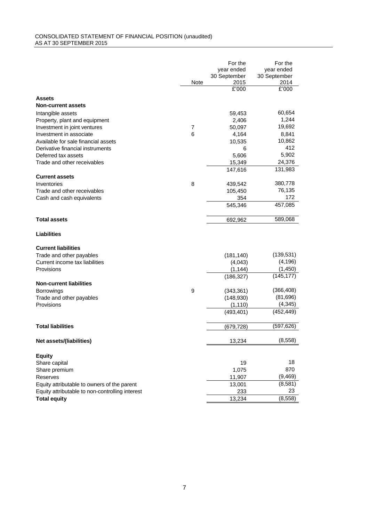#### CONSOLIDATED STATEMENT OF FINANCIAL POSITION (unaudited) AS AT 30 SEPTEMBER 2015

|                                                 |                | For the       | For the       |
|-------------------------------------------------|----------------|---------------|---------------|
|                                                 |                | year ended    | year ended    |
|                                                 |                | 30 September  | 30 September  |
|                                                 | Note           | 2015<br>£'000 | 2014<br>£'000 |
|                                                 |                |               |               |
| <b>Assets</b>                                   |                |               |               |
| <b>Non-current assets</b>                       |                |               |               |
| Intangible assets                               |                | 59,453        | 60,654        |
| Property, plant and equipment                   |                | 2,406         | 1,244         |
| Investment in joint ventures                    | $\overline{7}$ | 50,097        | 19,692        |
| Investment in associate                         | 6              | 4,164         | 8,841         |
| Available for sale financial assets             |                | 10,535        | 10,862        |
| Derivative financial instruments                |                | 6             | 412           |
| Deferred tax assets                             |                | 5,606         | 5,902         |
| Trade and other receivables                     |                | 15,349        | 24,376        |
|                                                 |                | 147,616       | 131,983       |
| <b>Current assets</b>                           |                |               |               |
| Inventories                                     | 8              | 439,542       | 380,778       |
| Trade and other receivables                     |                | 105,450       | 76,135        |
| Cash and cash equivalents                       |                | 354           | 172           |
|                                                 |                | 545,346       | 457,085       |
| <b>Total assets</b>                             |                | 692,962       | 589,068       |
| <b>Liabilities</b>                              |                |               |               |
| <b>Current liabilities</b>                      |                |               |               |
| Trade and other payables                        |                | (181, 140)    | (139, 531)    |
| Current income tax liabilities                  |                | (4,043)       | (4, 196)      |
| Provisions                                      |                | (1, 144)      | (1,450)       |
|                                                 |                | (186, 327)    | (145, 177)    |
| <b>Non-current liabilities</b>                  |                |               |               |
| <b>Borrowings</b>                               | 9              | (343, 361)    | (366, 408)    |
| Trade and other payables                        |                | (148, 930)    | (81, 696)     |
| Provisions                                      |                | (1, 110)      | (4, 345)      |
|                                                 |                | (493, 401)    | (452, 449)    |
| <b>Total liabilities</b>                        |                | (679, 728)    | (597,626)     |
| Net assets/(liabilities)                        |                | 13,234        | (8, 558)      |
| <b>Equity</b>                                   |                |               |               |
| Share capital                                   |                | 19            | 18            |
| Share premium                                   |                | 1,075         | 870           |
| Reserves                                        |                | 11,907        | (9,469)       |
| Equity attributable to owners of the parent     |                | 13,001        | (8,581)       |
| Equity attributable to non-controlling interest |                | 233           | 23            |
| <b>Total equity</b>                             |                | 13,234        | (8,558)       |
|                                                 |                |               |               |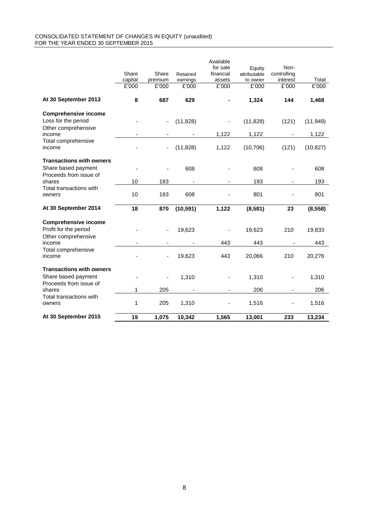#### CONSOLIDATED STATEMENT OF CHANGES IN EQUITY (unaudited) FOR THE YEAR ENDED 30 SEPTEMBER 2015

|                                                                                  | Share            | Share            | Retained          | Available<br>for sale<br>financial | Equity<br>attributable | Non-<br>controlling |                |
|----------------------------------------------------------------------------------|------------------|------------------|-------------------|------------------------------------|------------------------|---------------------|----------------|
|                                                                                  | capital<br>£'000 | premium<br>£'000 | earnings<br>£'000 | assets<br>£'000                    | to owner<br>£'000      | interest<br>£'000   | Total<br>E'000 |
|                                                                                  |                  |                  |                   |                                    |                        |                     |                |
| At 30 September 2013                                                             | 8                | 687              | 629               |                                    | 1,324                  | 144                 | 1,468          |
| <b>Comprehensive income</b><br>Loss for the period<br>Other comprehensive        |                  |                  | (11, 828)         |                                    | (11, 828)              | (121)               | (11, 949)      |
| income                                                                           |                  |                  |                   | 1,122                              | 1,122                  |                     | 1,122          |
| Total comprehensive<br>income                                                    |                  |                  | (11, 828)         | 1,122                              | (10, 706)              | (121)               | (10, 827)      |
| <b>Transactions with owners</b><br>Share based payment<br>Proceeds from issue of |                  |                  | 608               |                                    | 608                    |                     | 608            |
| shares                                                                           | 10               | 183              |                   |                                    | 193                    | ä,                  | 193            |
| Total transactions with<br>owners                                                | 10               | 183              | 608               |                                    | 801                    |                     | 801            |
| At 30 September 2014                                                             | 18               | 870              | (10, 591)         | 1,122                              | (8,581)                | 23                  | (8, 558)       |
| <b>Comprehensive income</b><br>Profit for the period<br>Other comprehensive      |                  |                  | 19,623            |                                    | 19,623                 | 210                 | 19,833         |
| income                                                                           |                  |                  |                   | 443                                | 443                    |                     | 443            |
| Total comprehensive<br>income                                                    |                  |                  | 19,623            | 443                                | 20,066                 | 210                 | 20,276         |
| <b>Transactions with owners</b><br>Share based payment<br>Proceeds from issue of |                  |                  | 1,310             |                                    | 1,310                  |                     | 1,310          |
| shares                                                                           | 1                | 205              |                   |                                    | 206                    |                     | 206            |
| Total transactions with<br>owners                                                | 1                | 205              | 1,310             |                                    | 1,516                  |                     | 1,516          |
| At 30 September 2015                                                             | 19               | 1,075            | 10,342            | 1,565                              | 13,001                 | 233                 | 13,234         |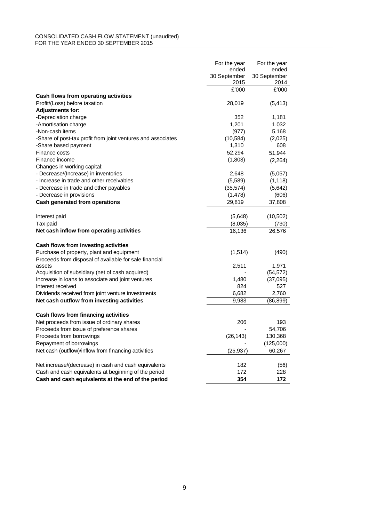#### CONSOLIDATED CASH FLOW STATEMENT (unaudited) FOR THE YEAR ENDED 30 SEPTEMBER 2015

|                                                              | For the year         | For the year         |
|--------------------------------------------------------------|----------------------|----------------------|
|                                                              | ended                | ended                |
|                                                              | 30 September<br>2015 | 30 September<br>2014 |
|                                                              | £'000                | £'000                |
| Cash flows from operating activities                         |                      |                      |
| Profit/(Loss) before taxation                                | 28,019               | (5, 413)             |
| <b>Adjustments for:</b>                                      |                      |                      |
| -Depreciation charge                                         | 352                  | 1,181                |
| -Amortisation charge                                         | 1.201                | 1,032                |
| -Non-cash items                                              | (977)                | 5,168                |
| -Share of post-tax profit from joint ventures and associates | (10, 584)            | (2,025)              |
| -Share based payment                                         | 1,310                | 608                  |
| Finance costs                                                | 52,294               | 51,944               |
| Finance income                                               | (1,803)              | (2, 264)             |
| Changes in working capital:                                  |                      |                      |
| - Decrease/(Increase) in inventories                         | 2,648                | (5,057)              |
| - Increase in trade and other receivables                    | (5,589)              | (1, 118)             |
| - Decrease in trade and other payables                       | (35, 574)            | (5,642)              |
| - Decrease in provisions                                     | (1,478)              | (606)                |
| Cash generated from operations                               | 29,819               | 37,808               |
|                                                              |                      |                      |
| Interest paid                                                | (5,648)              | (10, 502)            |
| Tax paid                                                     | (8,035)              | (730)                |
| Net cash inflow from operating activities                    | 16,136               | 26,576               |
| Cash flows from investing activities                         |                      |                      |
| Purchase of property, plant and equipment                    | (1, 514)             | (490)                |
| Proceeds from disposal of available for sale financial       |                      |                      |
| assets                                                       | 2,511                | 1,971                |
| Acquisition of subsidiary (net of cash acquired)             |                      | (54, 572)            |
| Increase in loans to associate and joint ventures            | 1,480                | (37,095)             |
| Interest received                                            | 824                  | 527                  |
| Dividends received from joint venture investments            | 6,682                | 2,760                |
| Net cash outflow from investing activities                   | 9,983                | (86, 899)            |
| Cash flows from financing activities                         |                      |                      |
| Net proceeds from issue of ordinary shares                   | 206                  | 193                  |
| Proceeds from issue of preference shares                     |                      | 54,706               |
| Proceeds from borrowings                                     | (26, 143)            | 130,368              |
| Repayment of borrowings                                      |                      | (125,000)            |
| Net cash (outflow)/inflow from financing activities          | (25, 937)            | 60,267               |
|                                                              |                      |                      |
| Net increase/(decrease) in cash and cash equivalents         | 182                  | (56)                 |
| Cash and cash equivalents at beginning of the period         | 172                  | 228                  |
| Cash and cash equivalents at the end of the period           | 354                  | 172                  |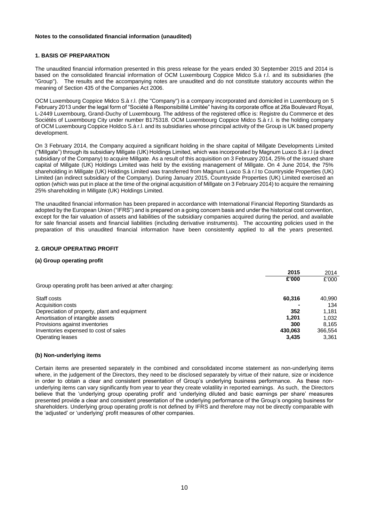### **1. BASIS OF PREPARATION**

The unaudited financial information presented in this press release for the years ended 30 September 2015 and 2014 is based on the consolidated financial information of OCM Luxembourg Coppice Midco S.à r.l. and its subsidiaries (the "Group"). The results and the accompanying notes are unaudited and do not constitute statutory accounts within the meaning of Section 435 of the Companies Act 2006.

OCM Luxembourg Coppice Midco S.à r.l. (the "Company") is a company incorporated and domiciled in Luxembourg on 5 February 2013 under the legal form of "Société à Responsibilité Limitée" having its corporate office at 26a Boulevard Royal, L-2449 Luxembourg, Grand-Duchy of Luxembourg. The address of the registered office is: Registre du Commerce et des Sociétés of Luxembourg City under number B175318. OCM Luxembourg Coppice Midco S.à r.l. is the holding company of OCM Luxembourg Coppice Holdco S.à r.l. and its subsidiaries whose principal activity of the Group is UK based property development.

On 3 February 2014, the Company acquired a significant holding in the share capital of Millgate Developments Limited ("Millgate") through its subsidiary Millgate (UK) Holdings Limited, which was incorporated by Magnum Luxco S.à r.l (a direct subsidiary of the Company) to acquire Millgate. As a result of this acquisition on 3 February 2014, 25% of the issued share capital of Millgate (UK) Holdings Limited was held by the existing management of Millgate. On 4 June 2014, the 75% shareholding in Millgate (UK) Holdings Limited was transferred from Magnum Luxco S.à r.l to Countryside Properties (UK) Limited (an indirect subsidiary of the Company). During January 2015, Countryside Properties (UK) Limited exercised an option (which was put in place at the time of the original acquisition of Millgate on 3 February 2014) to acquire the remaining 25% shareholding in Millgate (UK) Holdings Limited.

The unaudited financial information has been prepared in accordance with International Financial Reporting Standards as adopted by the European Union ("IFRS") and is prepared on a going concern basis and under the historical cost convention, except for the fair valuation of assets and liabilities of the subsidiary companies acquired during the period, and available for sale financial assets and financial liabilities (including derivative instruments). The accounting policies used in the preparation of this unaudited financial information have been consistently applied to all the years presented.

### **2. GROUP OPERATING PROFIT**

### **(a) Group operating profit**

|                                                            | 2015    | 2014    |
|------------------------------------------------------------|---------|---------|
|                                                            | £'000   | £'000   |
| Group operating profit has been arrived at after charging: |         |         |
| Staff costs                                                | 60,316  | 40,990  |
| Acquisition costs                                          |         | 134     |
| Depreciation of property, plant and equipment              | 352     | 1.181   |
| Amortisation of intangible assets                          | 1.201   | 1.032   |
| Provisions against inventories                             | 300     | 8.165   |
| Inventories expensed to cost of sales                      | 430.063 | 366.554 |
| <b>Operating leases</b>                                    | 3,435   | 3,361   |

#### **(b) Non-underlying items**

Certain items are presented separately in the combined and consolidated income statement as non-underlying items where, in the judgement of the Directors, they need to be disclosed separately by virtue of their nature, size or incidence in order to obtain a clear and consistent presentation of Group's underlying business performance. As these nonunderlying items can vary significantly from year to year they create volatility in reported earnings. As such, the Directors believe that the 'underlying group operating profit' and 'underlying diluted and basic earnings per share' measures presented provide a clear and consistent presentation of the underlying performance of the Group's ongoing business for shareholders. Underlying group operating profit is not defined by IFRS and therefore may not be directly comparable with the 'adjusted' or 'underlying' profit measures of other companies.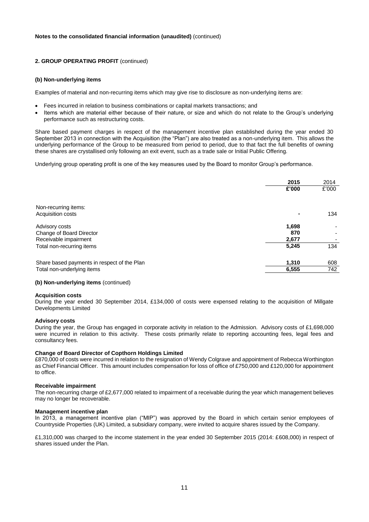### **2. GROUP OPERATING PROFIT** (continued)

#### **(b) Non-underlying items**

Examples of material and non-recurring items which may give rise to disclosure as non-underlying items are:

- Fees incurred in relation to business combinations or capital markets transactions; and
- Items which are material either because of their nature, or size and which do not relate to the Group's underlying performance such as restructuring costs.

Share based payment charges in respect of the management incentive plan established during the year ended 30 September 2013 in connection with the Acquisition (the "Plan") are also treated as a non-underlying item. This allows the underlying performance of the Group to be measured from period to period, due to that fact the full benefits of owning these shares are crystallised only following an exit event, such as a trade sale or Initial Public Offering.

Underlying group operating profit is one of the key measures used by the Board to monitor Group's performance.

|                                             | 2015  | 2014  |
|---------------------------------------------|-------|-------|
|                                             | £'000 | £'000 |
| Non-recurring items:                        |       |       |
| Acquisition costs                           |       | 134   |
| Advisory costs                              | 1,698 |       |
| Change of Board Director                    | 870   |       |
| Receivable impairment                       | 2,677 |       |
| Total non-recurring items                   | 5,245 | 134   |
| Share based payments in respect of the Plan | 1,310 | 608   |
| Total non-underlying items                  | 6,555 | 742   |
|                                             |       |       |

### **(b) Non-underlying items** (continued)

#### **Acquisition costs**

During the year ended 30 September 2014, £134,000 of costs were expensed relating to the acquisition of Millgate Developments Limited

#### **Advisory costs**

During the year, the Group has engaged in corporate activity in relation to the Admission. Advisory costs of £1,698,000 were incurred in relation to this activity. These costs primarily relate to reporting accounting fees, legal fees and consultancy fees.

#### **Change of Board Director of Copthorn Holdings Limited**

£870,000 of costs were incurred in relation to the resignation of Wendy Colgrave and appointment of Rebecca Worthington as Chief Financial Officer. This amount includes compensation for loss of office of £750,000 and £120,000 for appointment to office.

#### **Receivable impairment**

The non-recurring charge of £2,677,000 related to impairment of a receivable during the year which management believes may no longer be recoverable.

#### **Management incentive plan**

In 2013, a management incentive plan ("MIP") was approved by the Board in which certain senior employees of Countryside Properties (UK) Limited, a subsidiary company, were invited to acquire shares issued by the Company.

£1,310,000 was charged to the income statement in the year ended 30 September 2015 (2014: £608,000) in respect of shares issued under the Plan.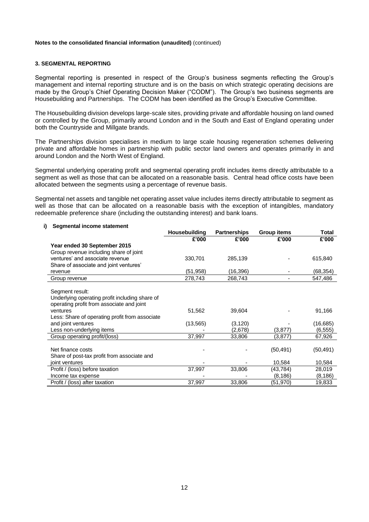### **3. SEGMENTAL REPORTING**

Segmental reporting is presented in respect of the Group's business segments reflecting the Group's management and internal reporting structure and is on the basis on which strategic operating decisions are made by the Group's Chief Operating Decision Maker ("CODM"). The Group's two business segments are Housebuilding and Partnerships. The CODM has been identified as the Group's Executive Committee.

The Housebuilding division develops large-scale sites, providing private and affordable housing on land owned or controlled by the Group, primarily around London and in the South and East of England operating under both the Countryside and Millgate brands.

The Partnerships division specialises in medium to large scale housing regeneration schemes delivering private and affordable homes in partnership with public sector land owners and operates primarily in and around London and the North West of England.

Segmental underlying operating profit and segmental operating profit includes items directly attributable to a segment as well as those that can be allocated on a reasonable basis. Central head office costs have been allocated between the segments using a percentage of revenue basis.

Segmental net assets and tangible net operating asset value includes items directly attributable to segment as well as those that can be allocated on a reasonable basis with the exception of intangibles, mandatory redeemable preference share (including the outstanding interest) and bank loans.

### **i) Segmental income statement**

| Housebuilding | <b>Partnerships</b>  | <b>Group items</b>  | Total     |
|---------------|----------------------|---------------------|-----------|
| £'000         | £'000                | £'000               | £'000     |
|               |                      |                     |           |
|               |                      |                     |           |
|               |                      |                     | 615,840   |
|               |                      |                     |           |
|               |                      |                     | (68,354)  |
| 278,743       | 268,743              |                     | 547,486   |
|               |                      |                     |           |
|               |                      |                     |           |
|               |                      |                     |           |
|               |                      |                     |           |
| 51,562        | 39,604               |                     | 91,166    |
|               |                      |                     |           |
| (13, 565)     | (3, 120)             |                     | (16,685)  |
|               | (2,678)              | (3,877)             | (6, 555)  |
| 37,997        | 33,806               | (3,877)             | 67,926    |
|               |                      |                     |           |
|               |                      | (50, 491)           | (50, 491) |
|               |                      |                     |           |
|               |                      | 10,584              | 10,584    |
| 37,997        | 33,806               | (43, 784)           | 28,019    |
|               |                      | (8,186)             | (8,186)   |
| 37,997        | 33,806               | (51,970)            | 19,833    |
|               | 330,701<br>(51, 958) | 285,139<br>(16,396) |           |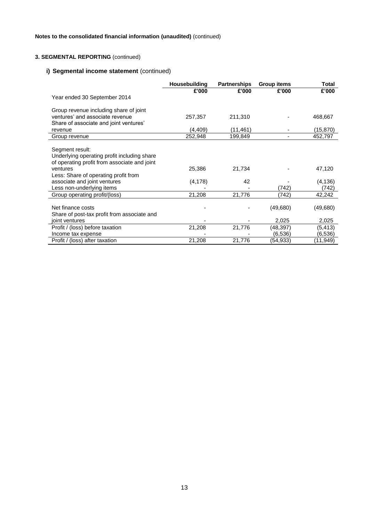# **3. SEGMENTAL REPORTING** (continued)

# **i) Segmental income statement** (continued)

|                                              | <b>Housebuilding</b> | <b>Partnerships</b> | <b>Group items</b> | Total     |
|----------------------------------------------|----------------------|---------------------|--------------------|-----------|
|                                              | £'000                | £'000               | £'000              | £'000     |
| Year ended 30 September 2014                 |                      |                     |                    |           |
| Group revenue including share of joint       |                      |                     |                    |           |
| ventures' and associate revenue              | 257,357              | 211,310             |                    | 468,667   |
| Share of associate and joint ventures'       |                      |                     |                    |           |
| revenue                                      | (4,409)              | (11, 461)           |                    | (15, 870) |
| Group revenue                                | 252,948              | 199,849             |                    | 452,797   |
|                                              |                      |                     |                    |           |
| Segment result:                              |                      |                     |                    |           |
| Underlying operating profit including share  |                      |                     |                    |           |
| of operating profit from associate and joint |                      |                     |                    |           |
| ventures                                     | 25,386               | 21,734              |                    | 47,120    |
| Less: Share of operating profit from         |                      |                     |                    |           |
| associate and joint ventures                 | (4, 178)             | 42                  |                    | (4, 136)  |
| Less non-underlying items                    |                      |                     | (742)              | (742)     |
| Group operating profit/(loss)                | 21,208               | 21,776              | (742)              | 42,242    |
|                                              |                      |                     |                    |           |
| Net finance costs                            |                      |                     | (49, 680)          | (49,680)  |
| Share of post-tax profit from associate and  |                      |                     |                    |           |
| joint ventures                               |                      |                     | 2,025              | 2,025     |
| Profit / (loss) before taxation              | 21,208               | 21,776              | (48,397)           | (5, 413)  |
| Income tax expense                           |                      |                     | (6,536)            | (6, 536)  |
| Profit / (loss) after taxation               | 21,208               | 21,776              | (54,933)           | (11,949)  |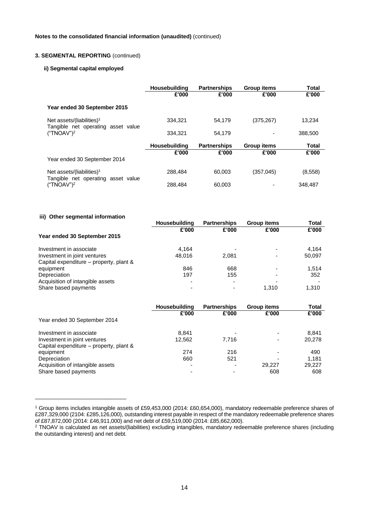### **3. SEGMENTAL REPORTING** (continued)

### **ii) Segmental capital employed**

|                                                                             | Housebuilding | <b>Partnerships</b> | <b>Group items</b> | Total   |
|-----------------------------------------------------------------------------|---------------|---------------------|--------------------|---------|
|                                                                             | £'000         | £'000               | £'000              | £'000   |
| Year ended 30 September 2015                                                |               |                     |                    |         |
| Net assets/(liabilities) <sup>1</sup><br>Tangible net operating asset value | 334.321       | 54.179              | (375,267)          | 13.234  |
| ("TNOAV") <sup>2</sup>                                                      | 334.321       | 54.179              |                    | 388,500 |
|                                                                             | Housebuilding | <b>Partnerships</b> | <b>Group items</b> | Total   |
|                                                                             | £'000         | £'000               | £'000              | £'000   |
| Year ended 30 September 2014                                                |               |                     |                    |         |
| Net assets/(liabilities) <sup>1</sup><br>Tangible net operating asset value | 288.484       | 60.003              | (357, 045)         | (8,558) |
| ("TNOAV") <sup>2</sup>                                                      | 288.484       | 60.003              |                    | 348,487 |

#### **iii) Other segmental information**

\_\_\_\_\_\_\_\_\_\_\_\_\_\_\_\_\_\_\_\_\_\_\_\_\_\_\_\_\_\_

|                                         | <b>Housebuilding</b> | <b>Partnerships</b> | <b>Group items</b> | Total  |
|-----------------------------------------|----------------------|---------------------|--------------------|--------|
|                                         | £'000                | £'000               | £'000              | £'000  |
| Year ended 30 September 2015            |                      |                     |                    |        |
| Investment in associate                 | 4.164                |                     |                    | 4.164  |
| Investment in joint ventures            | 48.016               | 2.081               |                    | 50,097 |
| Capital expenditure – property, plant & |                      |                     |                    |        |
| equipment                               | 846                  | 668                 |                    | 1.514  |
| Depreciation                            | 197                  | 155                 |                    | 352    |
| Acquisition of intangible assets        |                      |                     |                    |        |
| Share based payments                    |                      |                     | 1.310              | 1.310  |

|                                         | Housebuilding<br>£'000 | <b>Partnerships</b><br>£'000 | <b>Group items</b><br>£'000 | Total<br>£'000 |
|-----------------------------------------|------------------------|------------------------------|-----------------------------|----------------|
| Year ended 30 September 2014            |                        |                              |                             |                |
| Investment in associate                 | 8.841                  |                              | $\overline{\phantom{0}}$    | 8.841          |
| Investment in joint ventures            | 12.562                 | 7.716                        | $\overline{\phantom{a}}$    | 20,278         |
| Capital expenditure – property, plant & |                        |                              |                             |                |
| equipment                               | 274                    | 216                          | ۰                           | 490            |
| Depreciation                            | 660                    | 521                          | $\overline{\phantom{0}}$    | 1.181          |
| Acquisition of intangible assets        |                        |                              | 29.227                      | 29.227         |
| Share based payments                    |                        |                              | 608                         | 608            |

<sup>1</sup> Group items includes intangible assets of £59,453,000 (2014: £60,654,000), mandatory redeemable preference shares of £287,329,000 (2104: £285,126,000), outstanding interest payable in respect of the mandatory redeemable preference shares of £87,872,000 (2014: £46,911,000) and net debt of £59,519,000 (2014: £85,662,000).

<sup>&</sup>lt;sup>2</sup> TNOAV is calculated as net assets/(liabilities) excluding intangibles, mandatory redeemable preference shares (including the outstanding interest) and net debt.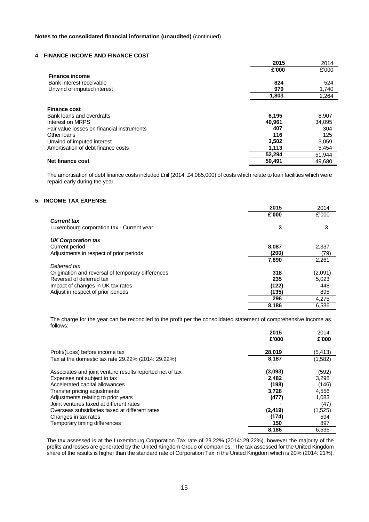### **4. FINANCE INCOME AND FINANCE COST**

|                                            | 2015   | 2014   |
|--------------------------------------------|--------|--------|
|                                            | £'000  | £'000  |
| <b>Finance income</b>                      |        |        |
| Bank interest receivable                   | 824    | 524    |
| Unwind of imputed interest                 | 979    | 1,740  |
|                                            | 1,803  | 2,264  |
|                                            |        |        |
| <b>Finance cost</b>                        |        |        |
| Bank loans and overdrafts                  | 6,195  | 8,907  |
| Interest on MRPS                           | 40,961 | 34,095 |
| Fair value losses on financial instruments | 407    | 304    |
| Other loans                                | 116    | 125    |
| Unwind of imputed interest                 | 3,502  | 3,059  |
| Amortisation of debt finance costs         | 1,113  | 5,454  |
|                                            | 52,294 | 51,944 |
| Net finance cost                           | 50,491 | 49.680 |

The amortisation of debt finance costs included £nil (2014: £4,085,000) of costs which relate to loan facilities which were repaid early during the year.

## **5. INCOME TAX EXPENSE**

|                                                   | 2015  | 2014    |
|---------------------------------------------------|-------|---------|
|                                                   | £'000 | £'000   |
| <b>Current tax</b>                                |       |         |
| Luxembourg corporation tax - Current year         | 3     | 3       |
| <b>UK Corporation tax</b>                         |       |         |
| Current period                                    | 8.087 | 2,337   |
| Adjustments in respect of prior periods           | (200) | (79)    |
|                                                   | 7,890 | 2,261   |
| Deferred tax                                      |       |         |
| Origination and reversal of temporary differences | 318   | (2,091) |
| Reversal of deferred tax                          | 235   | 5,023   |
| Impact of changes in UK tax rates                 | (122) | 448     |
| Adjust in respect of prior periods                | (135) | 895     |
|                                                   | 296   | 4,275   |
|                                                   | 8,186 | 6,536   |

The charge for the year can be reconciled to the profit per the consolidated statement of comprehensive income as follows:

|                                                          | 2015     | 2014     |
|----------------------------------------------------------|----------|----------|
|                                                          | £'000    | £'000    |
| Profit/(Loss) before income tax                          | 28,019   | (5, 413) |
| Tax at the domestic tax rate 29.22% (2014: 29.22%)       | 8,187    | (1,582)  |
| Associates and joint venture results reported net of tax | (3,093)  | (592)    |
| Expenses not subject to tax                              | 2,482    | 3,298    |
| Accelerated capital allowances                           | (198)    | (146)    |
| Transfer pricing adjustments                             | 3.728    | 4,556    |
| Adjustments relating to prior years                      | (477)    | 1,083    |
| Joint ventures taxed at different rates                  |          | (47)     |
| Overseas subsidiaries taxed at different rates           | (2, 419) | (1,525)  |
| Changes in tax rates                                     | (174)    | 594      |
| Temporary timing differences                             | 150      | 897      |
|                                                          | 8,186    | 6,536    |

The tax assessed is at the Luxembourg Corporation Tax rate of 29.22% (2014: 29.22%), however the majority of the profits and losses are generated by the United Kingdom Group of companies. The tax assessed for the United Kingdom share of the results is higher than the standard rate of Corporation Tax in the United Kingdom which is 20% (2014: 21%).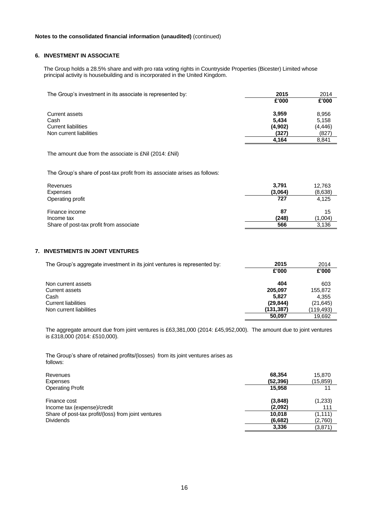### **6. INVESTMENT IN ASSOCIATE**

The Group holds a 28.5% share and with pro rata voting rights in Countryside Properties (Bicester) Limited whose principal activity is housebuilding and is incorporated in the United Kingdom.

| The Group's investment in its associate is represented by: | 2015    | 2014     |
|------------------------------------------------------------|---------|----------|
|                                                            | £'000   | £'000    |
| Current assets                                             | 3.959   | 8,956    |
| Cash                                                       | 5.434   | 5,158    |
| <b>Current liabilities</b>                                 | (4,902) | (4, 446) |
| Non current liabilities                                    | (327)   | (827)    |
|                                                            | 4.164   | 8.841    |

The amount due from the associate is £Nil (2014: £Nil)

The Group's share of post-tax profit from its associate arises as follows:

| Revenues<br>Expenses                    | 3.791<br>(3,064) | 12,763<br>(8,638) |
|-----------------------------------------|------------------|-------------------|
| Operating profit                        | 727              | 4.125             |
| Finance income                          | 87               | 15                |
| Income tax                              | (248)            | (1,004)           |
| Share of post-tax profit from associate | 566              | 3,136             |

## **7. INVESTMENTS IN JOINT VENTURES**

| The Group's aggregate investment in its joint ventures is represented by: | 2015      | 2014      |
|---------------------------------------------------------------------------|-----------|-----------|
|                                                                           | £'000     | £'000     |
| Non current assets                                                        | 404       | 603       |
| Current assets                                                            | 205.097   | 155.872   |
| Cash                                                                      | 5.827     | 4,355     |
| <b>Current liabilities</b>                                                | (29, 844) | (21, 645) |
| Non current liabilities                                                   | (131,387) | (119,493) |
|                                                                           | 50,097    | 19.692    |

The aggregate amount due from joint ventures is £63,381,000 (2014: £45,952,000). The amount due to joint ventures is £318,000 (2014: £510,000).

The Group's share of retained profits/(losses) from its joint ventures arises as follows:

| Revenues                                            | 68.354    | 15.870   |
|-----------------------------------------------------|-----------|----------|
| Expenses                                            | (52, 396) | (15,859) |
| <b>Operating Profit</b>                             | 15,958    | 11       |
| Finance cost                                        | (3,848)   | (1,233)  |
| Income tax (expense)/credit                         | (2.092)   | 111      |
| Share of post-tax profit/(loss) from joint ventures | 10.018    | (1, 111) |
| <b>Dividends</b>                                    | (6,682)   | (2.760)  |
|                                                     | 3,336     | (3,871)  |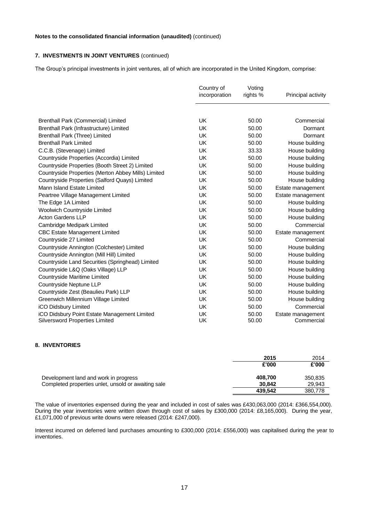# **7. INVESTMENTS IN JOINT VENTURES** (continued)

The Group's principal investments in joint ventures, all of which are incorporated in the United Kingdom, comprise:

|                                                                                       | Country of<br>incorporation | Voting<br>rights % | Principal activity              |
|---------------------------------------------------------------------------------------|-----------------------------|--------------------|---------------------------------|
|                                                                                       |                             |                    |                                 |
| <b>Brenthall Park (Commercial) Limited</b>                                            | UK                          | 50.00              | Commercial                      |
| Brenthall Park (Infrastructure) Limited                                               | UK                          | 50.00              | Dormant                         |
| Brenthall Park (Three) Limited                                                        | UK                          | 50.00              | Dormant                         |
| <b>Brenthall Park Limited</b>                                                         | UK                          | 50.00              | House building                  |
| C.C.B. (Stevenage) Limited                                                            | <b>UK</b>                   | 33.33              | House building                  |
| Countryside Properties (Accordia) Limited                                             | <b>UK</b>                   | 50.00              | House building                  |
| Countryside Properties (Booth Street 2) Limited                                       | UK                          | 50.00              | House building                  |
| Countryside Properties (Merton Abbey Mills) Limited                                   | UK                          | 50.00              | House building                  |
| Countryside Properties (Salford Quays) Limited                                        | UK                          | 50.00              | House building                  |
| Mann Island Estate Limited                                                            | <b>UK</b>                   | 50.00              | Estate management               |
| Peartree Village Management Limited                                                   | <b>UK</b>                   | 50.00              | Estate management               |
| The Edge 1A Limited                                                                   | <b>UK</b>                   | 50.00              | House building                  |
| <b>Woolwich Countryside Limited</b>                                                   | UK                          | 50.00              | House building                  |
| <b>Acton Gardens LLP</b>                                                              | UK                          | 50.00              | House building                  |
| Cambridge Medipark Limited                                                            | UK                          | 50.00              | Commercial                      |
| <b>CBC Estate Management Limited</b>                                                  | UK                          | 50.00              | Estate management               |
| Countryside 27 Limited                                                                | <b>UK</b>                   | 50.00              | Commercial                      |
| Countryside Annington (Colchester) Limited                                            | UK                          | 50.00              | House building                  |
| Countryside Annington (Mill Hill) Limited                                             | UK                          | 50.00              | House building                  |
| Countryside Land Securities (Springhead) Limited                                      | UK                          | 50.00              | House building                  |
| Countryside L&Q (Oaks Village) LLP                                                    | UK                          | 50.00              | House building                  |
| Countryside Maritime Limited                                                          | <b>UK</b>                   | 50.00              | House building                  |
| Countryside Neptune LLP                                                               | <b>UK</b>                   | 50.00              | House building                  |
| Countryside Zest (Beaulieu Park) LLP                                                  | <b>UK</b>                   | 50.00              | House building                  |
| Greenwich Millennium Village Limited                                                  | UK                          | 50.00              | House building                  |
| iCO Didsbury Limited                                                                  | <b>UK</b>                   | 50.00              | Commercial                      |
| iCO Didsbury Point Estate Management Limited<br><b>Silversword Properties Limited</b> | UK<br>UK                    | 50.00<br>50.00     | Estate management<br>Commercial |

# **8. INVENTORIES**

|                                                     | 2015    | 2014    |
|-----------------------------------------------------|---------|---------|
|                                                     | £'000   | £'000   |
| Development land and work in progress               | 408.700 | 350,835 |
| Completed properties unlet, unsold or awaiting sale | 30.842  | 29.943  |
|                                                     | 439.542 | 380,778 |

The value of inventories expensed during the year and included in cost of sales was £430,063,000 (2014: £366,554,000). During the year inventories were written down through cost of sales by £300,000 (2014: £8,165,000). During the year, £1,071,000 of previous write downs were released (2014: £247,000).

Interest incurred on deferred land purchases amounting to £300,000 (2014: £556,000) was capitalised during the year to inventories.